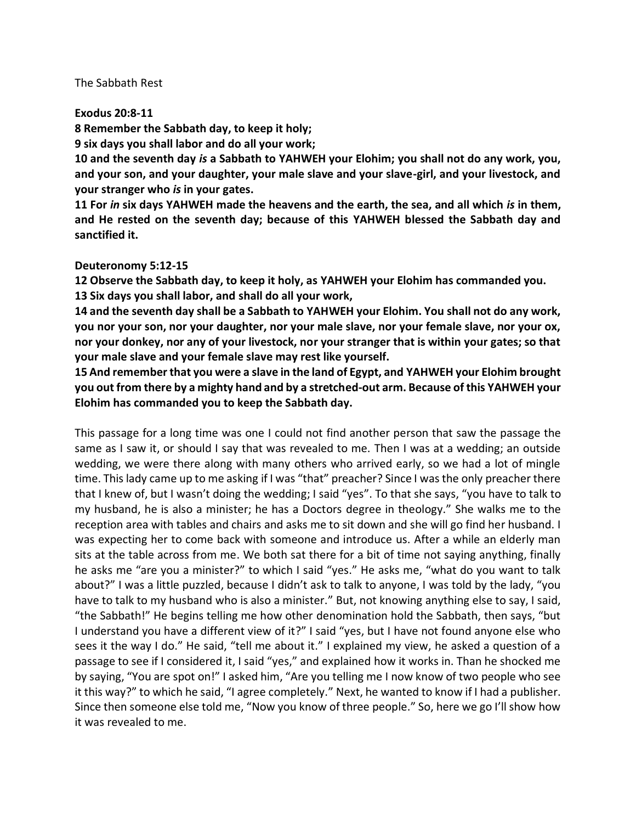## The Sabbath Rest

## **Exodus 20:8-11**

**8 Remember the Sabbath day, to keep it holy;**

**9 six days you shall labor and do all your work;**

**10 and the seventh day** *is* **a Sabbath to YAHWEH your Elohim; you shall not do any work, you, and your son, and your daughter, your male slave and your slave-girl, and your livestock, and your stranger who** *is* **in your gates.**

**11 For** *in* **six days YAHWEH made the heavens and the earth, the sea, and all which** *is* **in them, and He rested on the seventh day; because of this YAHWEH blessed the Sabbath day and sanctified it.**

## **Deuteronomy 5:12-15**

**12 Observe the Sabbath day, to keep it holy, as YAHWEH your Elohim has commanded you. 13 Six days you shall labor, and shall do all your work,**

**14 and the seventh day shall be a Sabbath to YAHWEH your Elohim. You shall not do any work, you nor your son, nor your daughter, nor your male slave, nor your female slave, nor your ox, nor your donkey, nor any of your livestock, nor your stranger that is within your gates; so that your male slave and your female slave may rest like yourself.**

**15 And remember that you were a slave in the land of Egypt, and YAHWEH your Elohim brought you out from there by a mighty hand and by a stretched-out arm. Because of this YAHWEH your Elohim has commanded you to keep the Sabbath day.**

This passage for a long time was one I could not find another person that saw the passage the same as I saw it, or should I say that was revealed to me. Then I was at a wedding; an outside wedding, we were there along with many others who arrived early, so we had a lot of mingle time. This lady came up to me asking if I was "that" preacher? Since I was the only preacher there that I knew of, but I wasn't doing the wedding; I said "yes". To that she says, "you have to talk to my husband, he is also a minister; he has a Doctors degree in theology." She walks me to the reception area with tables and chairs and asks me to sit down and she will go find her husband. I was expecting her to come back with someone and introduce us. After a while an elderly man sits at the table across from me. We both sat there for a bit of time not saying anything, finally he asks me "are you a minister?" to which I said "yes." He asks me, "what do you want to talk about?" I was a little puzzled, because I didn't ask to talk to anyone, I was told by the lady, "you have to talk to my husband who is also a minister." But, not knowing anything else to say, I said, "the Sabbath!" He begins telling me how other denomination hold the Sabbath, then says, "but I understand you have a different view of it?" I said "yes, but I have not found anyone else who sees it the way I do." He said, "tell me about it." I explained my view, he asked a question of a passage to see if I considered it, I said "yes," and explained how it works in. Than he shocked me by saying, "You are spot on!" I asked him, "Are you telling me I now know of two people who see it this way?" to which he said, "I agree completely." Next, he wanted to know if I had a publisher. Since then someone else told me, "Now you know of three people." So, here we go I'll show how it was revealed to me.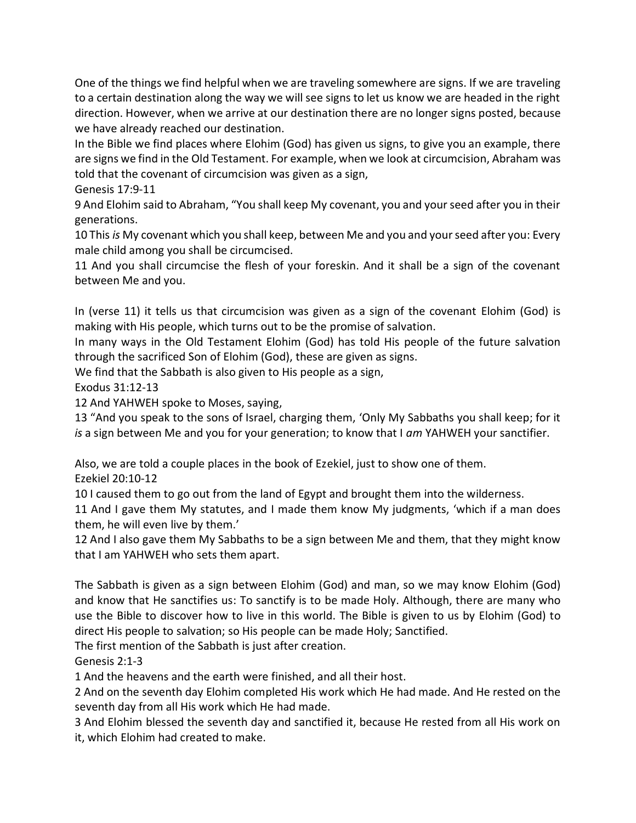One of the things we find helpful when we are traveling somewhere are signs. If we are traveling to a certain destination along the way we will see signs to let us know we are headed in the right direction. However, when we arrive at our destination there are no longer signs posted, because we have already reached our destination.

In the Bible we find places where Elohim (God) has given us signs, to give you an example, there are signs we find in the Old Testament. For example, when we look at circumcision, Abraham was told that the covenant of circumcision was given as a sign,

Genesis 17:9-11

9 And Elohim said to Abraham, "You shall keep My covenant, you and your seed after you in their generations.

10 This *is* My covenant which you shall keep, between Me and you and your seed after you: Every male child among you shall be circumcised.

11 And you shall circumcise the flesh of your foreskin. And it shall be a sign of the covenant between Me and you.

In (verse 11) it tells us that circumcision was given as a sign of the covenant Elohim (God) is making with His people, which turns out to be the promise of salvation.

In many ways in the Old Testament Elohim (God) has told His people of the future salvation through the sacrificed Son of Elohim (God), these are given as signs.

We find that the Sabbath is also given to His people as a sign,

Exodus 31:12-13

12 And YAHWEH spoke to Moses, saying,

13 "And you speak to the sons of Israel, charging them, 'Only My Sabbaths you shall keep; for it *is* a sign between Me and you for your generation; to know that I *am* YAHWEH your sanctifier.

Also, we are told a couple places in the book of Ezekiel, just to show one of them. Ezekiel 20:10-12

10 I caused them to go out from the land of Egypt and brought them into the wilderness.

11 And I gave them My statutes, and I made them know My judgments, 'which if a man does them, he will even live by them.'

12 And I also gave them My Sabbaths to be a sign between Me and them, that they might know that I am YAHWEH who sets them apart.

The Sabbath is given as a sign between Elohim (God) and man, so we may know Elohim (God) and know that He sanctifies us: To sanctify is to be made Holy. Although, there are many who use the Bible to discover how to live in this world. The Bible is given to us by Elohim (God) to direct His people to salvation; so His people can be made Holy; Sanctified.

The first mention of the Sabbath is just after creation.

Genesis 2:1-3

1 And the heavens and the earth were finished, and all their host.

2 And on the seventh day Elohim completed His work which He had made. And He rested on the seventh day from all His work which He had made.

3 And Elohim blessed the seventh day and sanctified it, because He rested from all His work on it, which Elohim had created to make.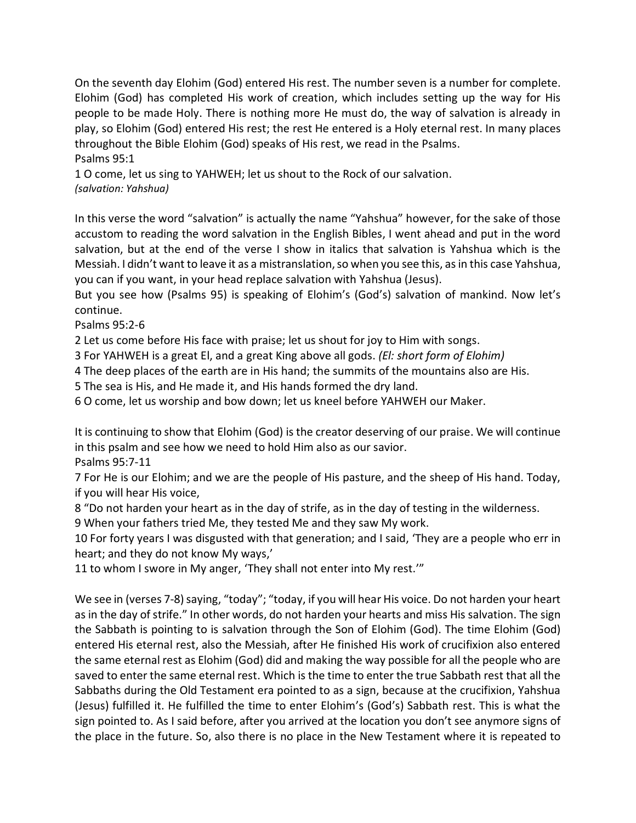On the seventh day Elohim (God) entered His rest. The number seven is a number for complete. Elohim (God) has completed His work of creation, which includes setting up the way for His people to be made Holy. There is nothing more He must do, the way of salvation is already in play, so Elohim (God) entered His rest; the rest He entered is a Holy eternal rest. In many places throughout the Bible Elohim (God) speaks of His rest, we read in the Psalms. Psalms 95:1

1 O come, let us sing to YAHWEH; let us shout to the Rock of our salvation. *(salvation: Yahshua)*

In this verse the word "salvation" is actually the name "Yahshua" however, for the sake of those accustom to reading the word salvation in the English Bibles, I went ahead and put in the word salvation, but at the end of the verse I show in italics that salvation is Yahshua which is the Messiah. I didn't want to leave it as a mistranslation, so when you see this, as in this case Yahshua, you can if you want, in your head replace salvation with Yahshua (Jesus).

But you see how (Psalms 95) is speaking of Elohim's (God's) salvation of mankind. Now let's continue.

Psalms 95:2-6

2 Let us come before His face with praise; let us shout for joy to Him with songs.

3 For YAHWEH is a great El, and a great King above all gods. *(El: short form of Elohim)*

4 The deep places of the earth are in His hand; the summits of the mountains also are His.

5 The sea is His, and He made it, and His hands formed the dry land.

6 O come, let us worship and bow down; let us kneel before YAHWEH our Maker.

It is continuing to show that Elohim (God) is the creator deserving of our praise. We will continue in this psalm and see how we need to hold Him also as our savior.

Psalms 95:7-11

7 For He is our Elohim; and we are the people of His pasture, and the sheep of His hand. Today, if you will hear His voice,

8 "Do not harden your heart as in the day of strife, as in the day of testing in the wilderness.

9 When your fathers tried Me, they tested Me and they saw My work.

10 For forty years I was disgusted with that generation; and I said, 'They are a people who err in heart; and they do not know My ways,'

11 to whom I swore in My anger, 'They shall not enter into My rest.'"

We see in (verses 7-8) saying, "today"; "today, if you will hear His voice. Do not harden your heart as in the day of strife." In other words, do not harden your hearts and miss His salvation. The sign the Sabbath is pointing to is salvation through the Son of Elohim (God). The time Elohim (God) entered His eternal rest, also the Messiah, after He finished His work of crucifixion also entered the same eternal rest as Elohim (God) did and making the way possible for all the people who are saved to enter the same eternal rest. Which is the time to enter the true Sabbath rest that all the Sabbaths during the Old Testament era pointed to as a sign, because at the crucifixion, Yahshua (Jesus) fulfilled it. He fulfilled the time to enter Elohim's (God's) Sabbath rest. This is what the sign pointed to. As I said before, after you arrived at the location you don't see anymore signs of the place in the future. So, also there is no place in the New Testament where it is repeated to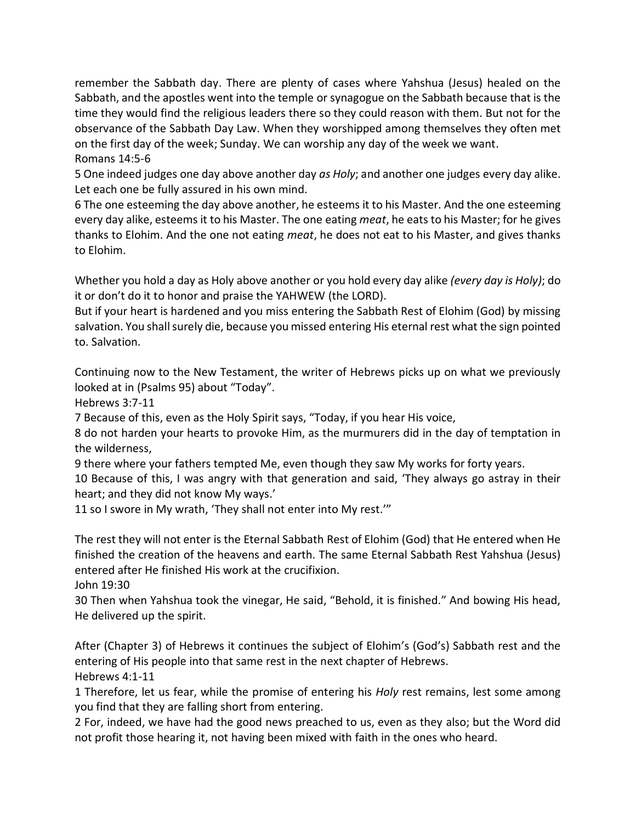remember the Sabbath day. There are plenty of cases where Yahshua (Jesus) healed on the Sabbath, and the apostles went into the temple or synagogue on the Sabbath because that is the time they would find the religious leaders there so they could reason with them. But not for the observance of the Sabbath Day Law. When they worshipped among themselves they often met on the first day of the week; Sunday. We can worship any day of the week we want. Romans 14:5-6

5 One indeed judges one day above another day *as Holy*; and another one judges every day alike. Let each one be fully assured in his own mind.

6 The one esteeming the day above another, he esteems it to his Master. And the one esteeming every day alike, esteems it to his Master. The one eating *meat*, he eats to his Master; for he gives thanks to Elohim. And the one not eating *meat*, he does not eat to his Master, and gives thanks to Elohim.

Whether you hold a day as Holy above another or you hold every day alike *(every day is Holy)*; do it or don't do it to honor and praise the YAHWEW (the LORD).

But if your heart is hardened and you miss entering the Sabbath Rest of Elohim (God) by missing salvation. You shall surely die, because you missed entering His eternal rest what the sign pointed to. Salvation.

Continuing now to the New Testament, the writer of Hebrews picks up on what we previously looked at in (Psalms 95) about "Today".

Hebrews 3:7-11

7 Because of this, even as the Holy Spirit says, "Today, if you hear His voice,

8 do not harden your hearts to provoke Him, as the murmurers did in the day of temptation in the wilderness,

9 there where your fathers tempted Me, even though they saw My works for forty years.

10 Because of this, I was angry with that generation and said, 'They always go astray in their heart; and they did not know My ways.'

11 so I swore in My wrath, 'They shall not enter into My rest.'"

The rest they will not enter is the Eternal Sabbath Rest of Elohim (God) that He entered when He finished the creation of the heavens and earth. The same Eternal Sabbath Rest Yahshua (Jesus) entered after He finished His work at the crucifixion.

John 19:30

30 Then when Yahshua took the vinegar, He said, "Behold, it is finished." And bowing His head, He delivered up the spirit.

After (Chapter 3) of Hebrews it continues the subject of Elohim's (God's) Sabbath rest and the entering of His people into that same rest in the next chapter of Hebrews. Hebrews 4:1-11

1 Therefore, let us fear, while the promise of entering his *Holy* rest remains, lest some among you find that they are falling short from entering.

2 For, indeed, we have had the good news preached to us, even as they also; but the Word did not profit those hearing it, not having been mixed with faith in the ones who heard.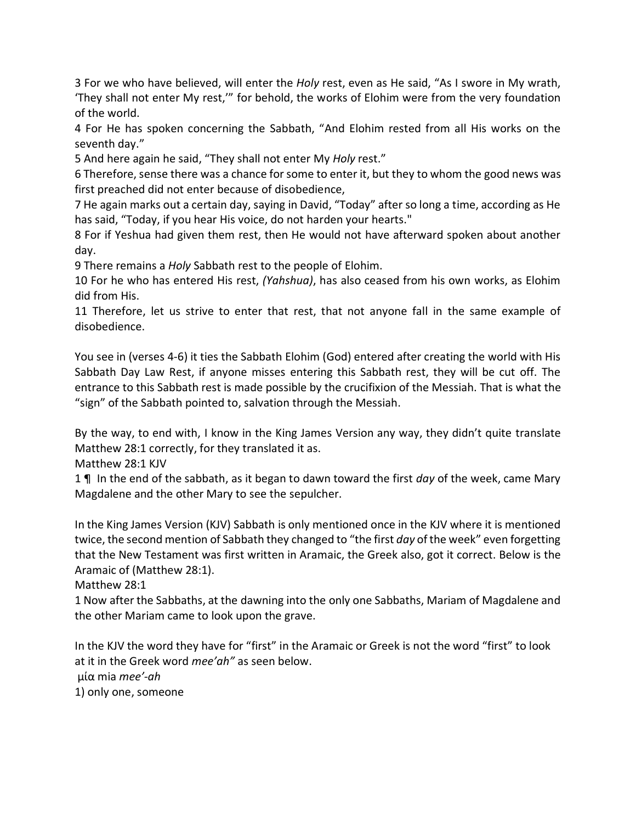3 For we who have believed, will enter the *Holy* rest, even as He said, "As I swore in My wrath, 'They shall not enter My rest,'" for behold, the works of Elohim were from the very foundation of the world.

4 For He has spoken concerning the Sabbath, "And Elohim rested from all His works on the seventh day."

5 And here again he said, "They shall not enter My *Holy* rest."

6 Therefore, sense there was a chance for some to enter it, but they to whom the good news was first preached did not enter because of disobedience,

7 He again marks out a certain day, saying in David, "Today" after so long a time, according as He has said, "Today, if you hear His voice, do not harden your hearts."

8 For if Yeshua had given them rest, then He would not have afterward spoken about another day.

9 There remains a *Holy* Sabbath rest to the people of Elohim.

10 For he who has entered His rest, *(Yahshua)*, has also ceased from his own works, as Elohim did from His.

11 Therefore, let us strive to enter that rest, that not anyone fall in the same example of disobedience.

You see in (verses 4-6) it ties the Sabbath Elohim (God) entered after creating the world with His Sabbath Day Law Rest, if anyone misses entering this Sabbath rest, they will be cut off. The entrance to this Sabbath rest is made possible by the crucifixion of the Messiah. That is what the "sign" of the Sabbath pointed to, salvation through the Messiah.

By the way, to end with, I know in the King James Version any way, they didn't quite translate Matthew 28:1 correctly, for they translated it as.

Matthew 28:1 KJV

1 ¶ In the end of the sabbath, as it began to dawn toward the first *day* of the week, came Mary Magdalene and the other Mary to see the sepulcher.

In the King James Version (KJV) Sabbath is only mentioned once in the KJV where it is mentioned twice, the second mention of Sabbath they changed to "the first *day* of the week" even forgetting that the New Testament was first written in Aramaic, the Greek also, got it correct. Below is the Aramaic of (Matthew 28:1).

Matthew 28:1

1 Now after the Sabbaths, at the dawning into the only one Sabbaths, Mariam of Magdalene and the other Mariam came to look upon the grave.

In the KJV the word they have for "first" in the Aramaic or Greek is not the word "first" to look at it in the Greek word *mee'ah"* as seen below. μία mia *mee'-ah* 1) only one, someone